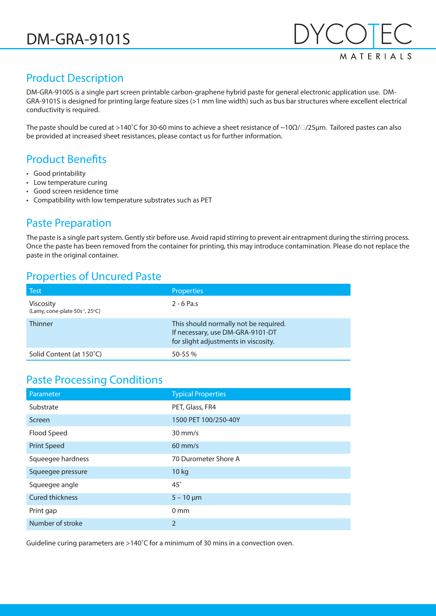

## Product Description

DM-GRA-9100S is a single part screen printable carbon-graphene hybrid paste for general electronic application use. DM-GRA-9101S is designed for printing large feature sizes (>1 mm line width) such as bus bar structures where excellent electrical conductivity is required.

The paste should be cured at >140˚C for 30-60 mins to achieve a sheet resistance of ~10Ω//25µm. Tailored pastes can also be provided at increased sheet resistances, please contact us for further information.

## Product Benefits

- Good printability
- Low temperature curing
- Good screen residence time
- Compatibility with low temperature substrates such as PET

#### Paste Preparation

The paste is a single part system. Gently stir before use. Avoid rapid stirring to prevent air entrapment during the stirring process. Once the paste has been removed from the container for printing, this may introduce contamination. Please do not replace the paste in the original container.

#### Properties of Uncured Paste

| <b>Test</b>                                                     | <b>Properties</b>                                                                                                 |
|-----------------------------------------------------------------|-------------------------------------------------------------------------------------------------------------------|
| <b>Viscosity</b><br>(Lamy, cone-plate 50s <sup>-1</sup> , 25°C) | $2 - 6$ Pa.s                                                                                                      |
| <b>Thinner</b>                                                  | This should normally not be required.<br>If necessary, use DM-GRA-9101-DT<br>for slight adjustments in viscosity. |
| Solid Content (at 150°C)                                        | $50 - 55%$                                                                                                        |

#### Paste Processing Conditions

| Parameter              | <b>Typical Properties</b> |
|------------------------|---------------------------|
| Substrate              | PET, Glass, FR4           |
| Screen                 | 1500 PET 100/250-40Y      |
| Flood Speed            | $30 \text{ mm/s}$         |
| <b>Print Speed</b>     | $60$ mm/s                 |
| Squeegee hardness      | 70 Durometer Shore A      |
| Squeegee pressure      | 10 kg                     |
| Squeegee angle         | $45^\circ$                |
| <b>Cured thickness</b> | $5 - 10 \mu m$            |
| Print gap              | 0 <sub>mm</sub>           |
| Number of stroke       | $\overline{2}$            |

Guideline curing parameters are >140˚C for a minimum of 30 mins in a convection oven.